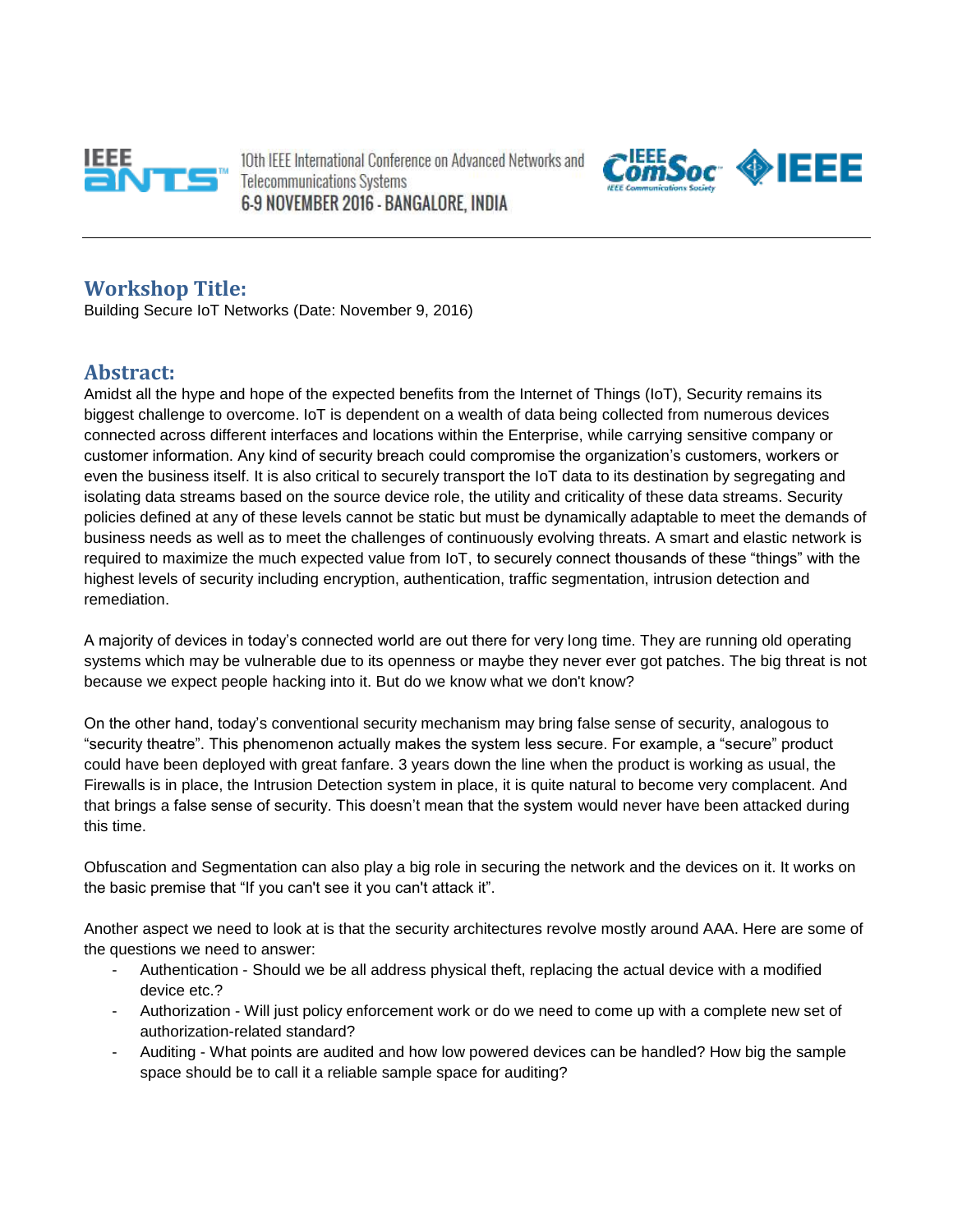

10th IEEE International Conference on Advanced Networks and **Telecommunications Systems** 6-9 NOVEMBER 2016 - BANGALORE, INDIA



### **Workshop Title:**

Building Secure IoT Networks (Date: November 9, 2016)

#### **Abstract:**

Amidst all the hype and hope of the expected benefits from the Internet of Things (IoT), Security remains its biggest challenge to overcome. IoT is dependent on a wealth of data being collected from numerous devices connected across different interfaces and locations within the Enterprise, while carrying sensitive company or customer information. Any kind of security breach could compromise the organization's customers, workers or even the business itself. It is also critical to securely transport the IoT data to its destination by segregating and isolating data streams based on the source device role, the utility and criticality of these data streams. Security policies defined at any of these levels cannot be static but must be dynamically adaptable to meet the demands of business needs as well as to meet the challenges of continuously evolving threats. A smart and elastic network is required to maximize the much expected value from IoT, to securely connect thousands of these "things" with the highest levels of security including encryption, authentication, traffic segmentation, intrusion detection and remediation.

A majority of devices in today's connected world are out there for very long time. They are running old operating systems which may be vulnerable due to its openness or maybe they never ever got patches. The big threat is not because we expect people hacking into it. But do we know what we don't know?

On the other hand, today's conventional security mechanism may bring false sense of security, analogous to "security theatre". This phenomenon actually makes the system less secure. For example, a "secure" product could have been deployed with great fanfare. 3 years down the line when the product is working as usual, the Firewalls is in place, the Intrusion Detection system in place, it is quite natural to become very complacent. And that brings a false sense of security. This doesn't mean that the system would never have been attacked during this time.

Obfuscation and Segmentation can also play a big role in securing the network and the devices on it. It works on the basic premise that "If you can't see it you can't attack it".

Another aspect we need to look at is that the security architectures revolve mostly around AAA. Here are some of the questions we need to answer:

- Authentication Should we be all address physical theft, replacing the actual device with a modified device etc.?
- Authorization Will just policy enforcement work or do we need to come up with a complete new set of authorization-related standard?
- Auditing What points are audited and how low powered devices can be handled? How big the sample space should be to call it a reliable sample space for auditing?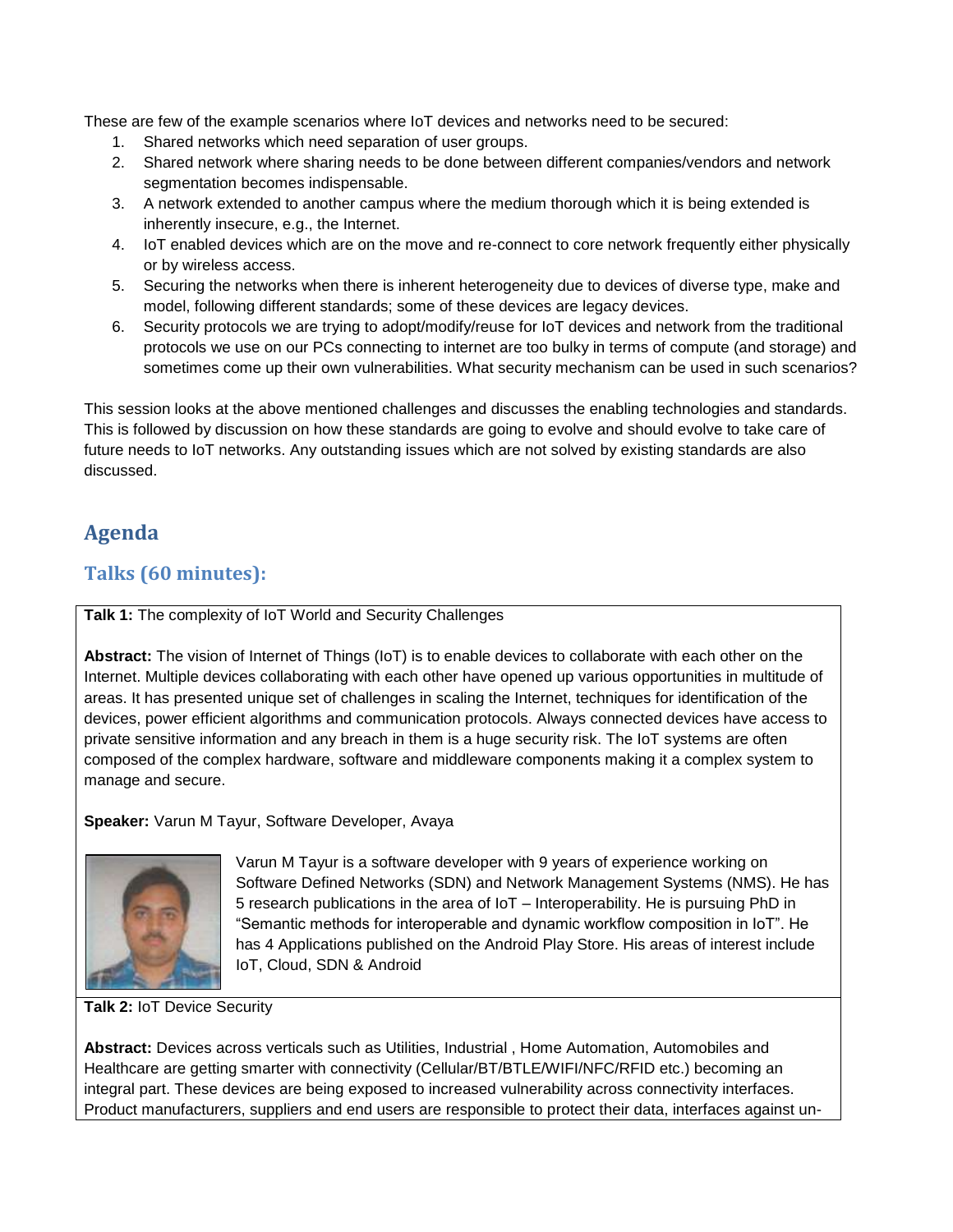These are few of the example scenarios where IoT devices and networks need to be secured:

- 1. Shared networks which need separation of user groups.
- 2. Shared network where sharing needs to be done between different companies/vendors and network segmentation becomes indispensable.
- 3. A network extended to another campus where the medium thorough which it is being extended is inherently insecure, e.g., the Internet.
- 4. IoT enabled devices which are on the move and re-connect to core network frequently either physically or by wireless access.
- 5. Securing the networks when there is inherent heterogeneity due to devices of diverse type, make and model, following different standards; some of these devices are legacy devices.
- 6. Security protocols we are trying to adopt/modify/reuse for IoT devices and network from the traditional protocols we use on our PCs connecting to internet are too bulky in terms of compute (and storage) and sometimes come up their own vulnerabilities. What security mechanism can be used in such scenarios?

This session looks at the above mentioned challenges and discusses the enabling technologies and standards. This is followed by discussion on how these standards are going to evolve and should evolve to take care of future needs to IoT networks. Any outstanding issues which are not solved by existing standards are also discussed.

# **Agenda**

## **Talks (60 minutes):**

**Talk 1:** The complexity of IoT World and Security Challenges

**Abstract:** The vision of Internet of Things (IoT) is to enable devices to collaborate with each other on the Internet. Multiple devices collaborating with each other have opened up various opportunities in multitude of areas. It has presented unique set of challenges in scaling the Internet, techniques for identification of the devices, power efficient algorithms and communication protocols. Always connected devices have access to private sensitive information and any breach in them is a huge security risk. The IoT systems are often composed of the complex hardware, software and middleware components making it a complex system to manage and secure.

**Speaker:** Varun M Tayur, Software Developer, Avaya



Varun M Tayur is a software developer with 9 years of experience working on Software Defined Networks (SDN) and Network Management Systems (NMS). He has 5 research publications in the area of IoT – Interoperability. He is pursuing PhD in "Semantic methods for interoperable and dynamic workflow composition in IoT". He has 4 Applications published on the Android Play Store. His areas of interest include IoT, Cloud, SDN & Android

**Talk 2:** IoT Device Security

**Abstract:** Devices across verticals such as Utilities, Industrial , Home Automation, Automobiles and Healthcare are getting smarter with connectivity (Cellular/BT/BTLE/WIFI/NFC/RFID etc.) becoming an integral part. These devices are being exposed to increased vulnerability across connectivity interfaces. Product manufacturers, suppliers and end users are responsible to protect their data, interfaces against un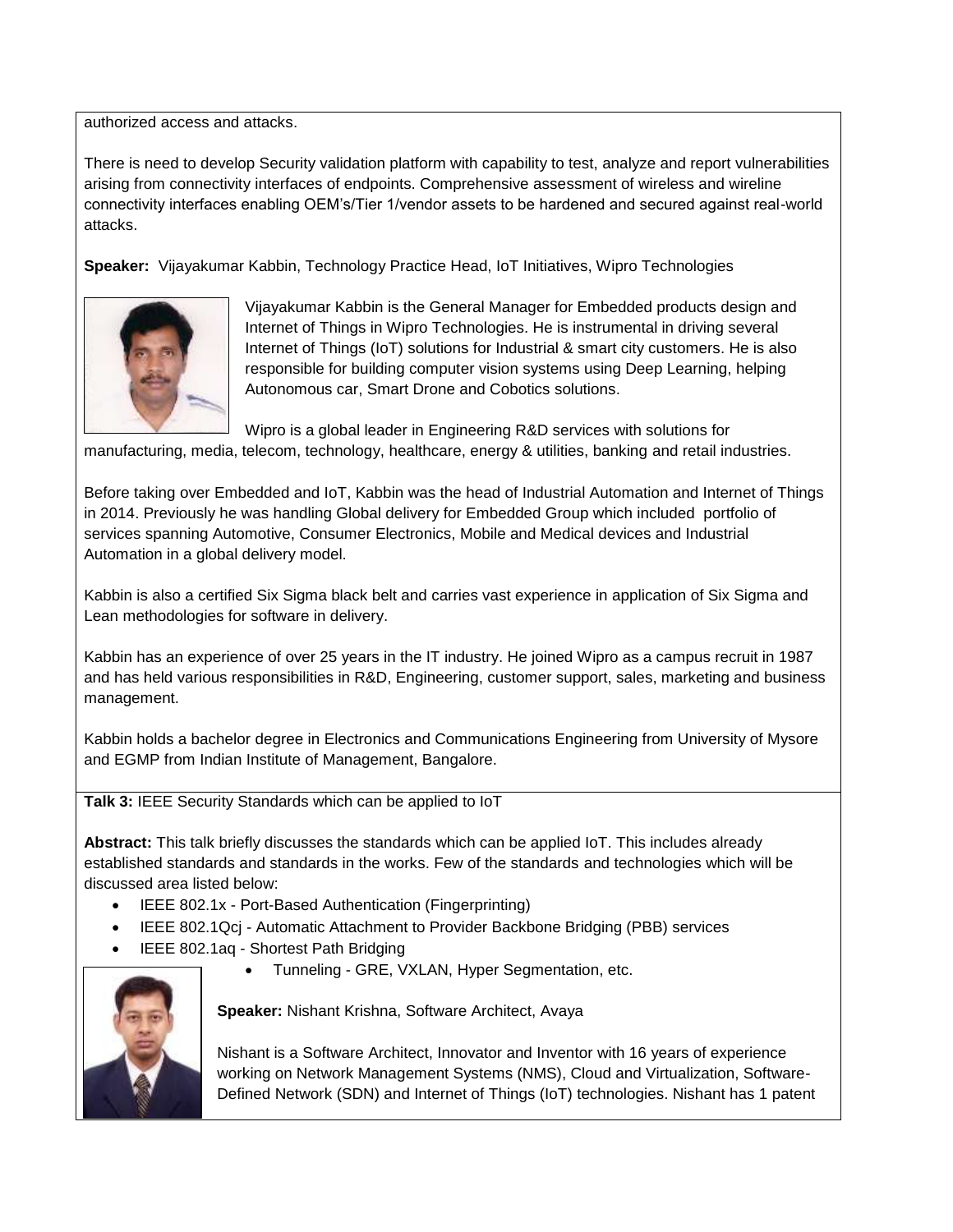authorized access and attacks.

There is need to develop Security validation platform with capability to test, analyze and report vulnerabilities arising from connectivity interfaces of endpoints. Comprehensive assessment of wireless and wireline connectivity interfaces enabling OEM's/Tier 1/vendor assets to be hardened and secured against real-world attacks.

**Speaker:** Vijayakumar Kabbin, Technology Practice Head, IoT Initiatives, Wipro Technologies



Vijayakumar Kabbin is the General Manager for Embedded products design and Internet of Things in Wipro Technologies. He is instrumental in driving several Internet of Things (IoT) solutions for Industrial & smart city customers. He is also responsible for building computer vision systems using Deep Learning, helping Autonomous car, Smart Drone and Cobotics solutions.

Wipro is a global leader in Engineering R&D services with solutions for manufacturing, media, telecom, technology, healthcare, energy & utilities, banking and retail industries.

Before taking over Embedded and IoT, Kabbin was the head of Industrial Automation and Internet of Things in 2014. Previously he was handling Global delivery for Embedded Group which included portfolio of services spanning Automotive, Consumer Electronics, Mobile and Medical devices and Industrial Automation in a global delivery model.

Kabbin is also a certified Six Sigma black belt and carries vast experience in application of Six Sigma and Lean methodologies for software in delivery.

Kabbin has an experience of over 25 years in the IT industry. He joined Wipro as a campus recruit in 1987 and has held various responsibilities in R&D, Engineering, customer support, sales, marketing and business management.

Kabbin holds a bachelor degree in Electronics and Communications Engineering from University of Mysore and EGMP from Indian Institute of Management, Bangalore.

**Talk 3:** IEEE Security Standards which can be applied to IoT

**Abstract:** This talk briefly discusses the standards which can be applied IoT. This includes already established standards and standards in the works. Few of the standards and technologies which will be discussed area listed below:

- IEEE 802.1x Port-Based Authentication (Fingerprinting)
- IEEE 802.1Qcj Automatic Attachment to Provider Backbone Bridging (PBB) services
- IEEE 802.1aq Shortest Path Bridging
	- Tunneling GRE, VXLAN, Hyper Segmentation, etc.



**Speaker:** Nishant Krishna, Software Architect, Avaya

Nishant is a Software Architect, Innovator and Inventor with 16 years of experience working on Network Management Systems (NMS), Cloud and Virtualization, Software-Defined Network (SDN) and Internet of Things (IoT) technologies. Nishant has 1 patent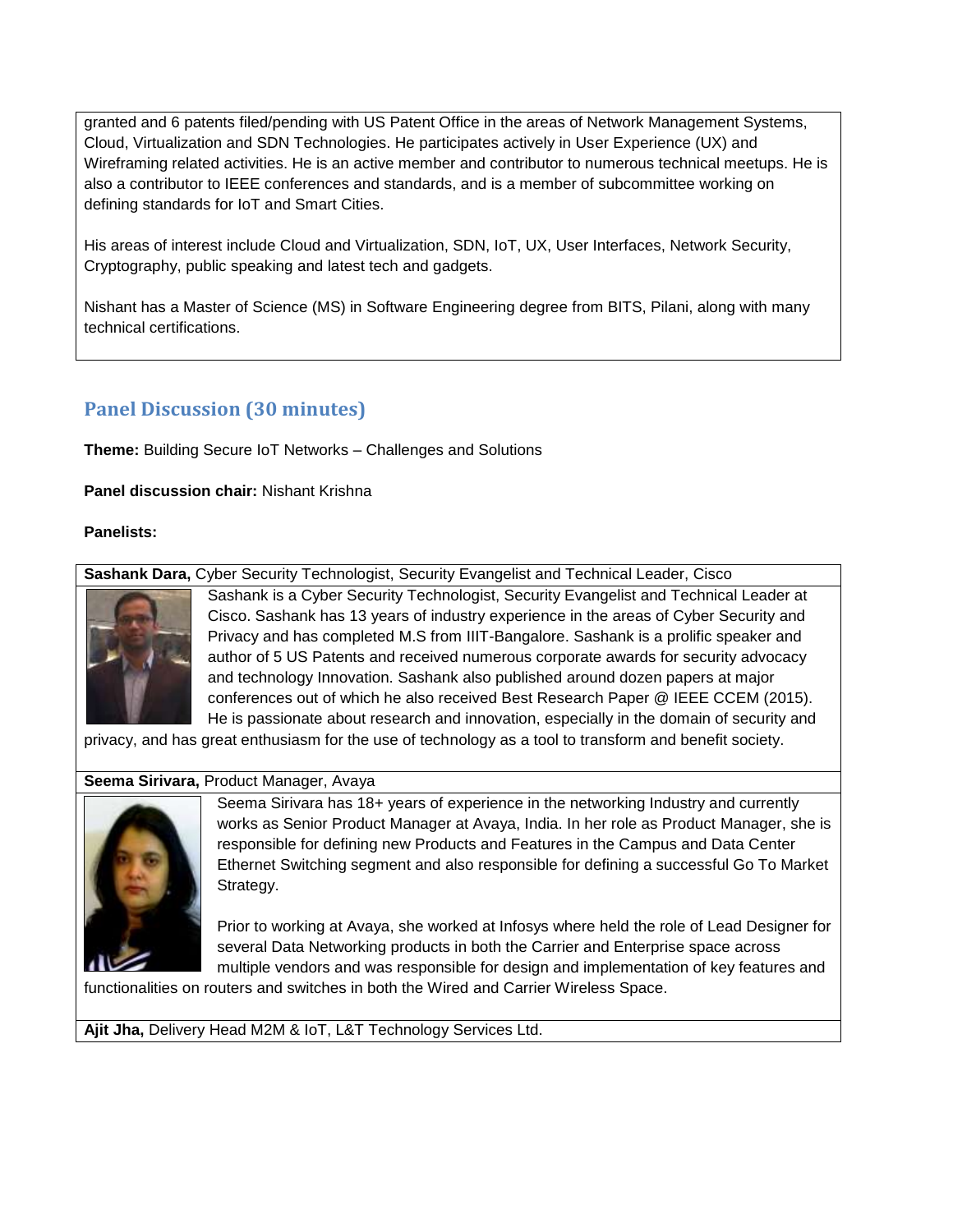granted and 6 patents filed/pending with US Patent Office in the areas of Network Management Systems, Cloud, Virtualization and SDN Technologies. He participates actively in User Experience (UX) and Wireframing related activities. He is an active member and contributor to numerous technical meetups. He is also a contributor to IEEE conferences and standards, and is a member of subcommittee working on defining standards for IoT and Smart Cities.

His areas of interest include Cloud and Virtualization, SDN, IoT, UX, User Interfaces, Network Security, Cryptography, public speaking and latest tech and gadgets.

Nishant has a Master of Science (MS) in Software Engineering degree from BITS, Pilani, along with many technical certifications.

## **Panel Discussion (30 minutes)**

**Theme:** Building Secure IoT Networks – Challenges and Solutions

**Panel discussion chair:** Nishant Krishna

**Panelists:**

**Sashank Dara,** Cyber Security Technologist, Security Evangelist and Technical Leader, Cisco



Sashank is a Cyber Security Technologist, Security Evangelist and Technical Leader at Cisco. Sashank has 13 years of industry experience in the areas of Cyber Security and Privacy and has completed M.S from IIIT-Bangalore. Sashank is a prolific speaker and author of 5 US Patents and received numerous corporate awards for security advocacy and technology Innovation. Sashank also published around dozen papers at major conferences out of which he also received Best Research Paper @ IEEE CCEM (2015). He is passionate about research and innovation, especially in the domain of security and

privacy, and has great enthusiasm for the use of technology as a tool to transform and benefit society.

#### **Seema Sirivara,** Product Manager, Avaya



Seema Sirivara has 18+ years of experience in the networking Industry and currently works as Senior Product Manager at Avaya, India. In her role as Product Manager, she is responsible for defining new Products and Features in the Campus and Data Center Ethernet Switching segment and also responsible for defining a successful Go To Market Strategy.

Prior to working at Avaya, she worked at Infosys where held the role of Lead Designer for several Data Networking products in both the Carrier and Enterprise space across multiple vendors and was responsible for design and implementation of key features and

functionalities on routers and switches in both the Wired and Carrier Wireless Space.

**Ajit Jha,** Delivery Head M2M & IoT, L&T Technology Services Ltd.